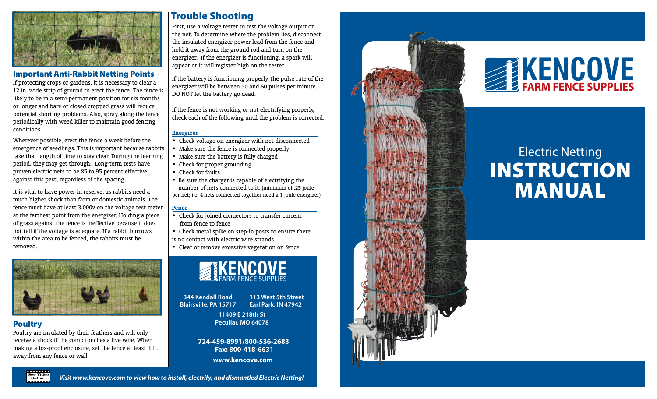

## Important Anti-Rabbit Netting Points

If protecting crops or gardens, it is necessary to clear a 12 in. wide strip of ground to erect the fence. The fence is likely to be in a semi-permanent position for six months or longer and bare or closed cropped grass will reduce potential shorting problems. Also, spray along the fence periodically with weed killer to maintain good fencing conditions.

Wherever possible, erect the fence a week before the emergence of seedlings. This is important because rabbits take that length of time to stay clear. During the learning period, they may get through. Long-term tests have proven electric nets to be 85 to 95 percent effective against this pest, regardless of the spacing.

It is vital to have power in reserve, as rabbits need a much higher shock than farm or domestic animals. The fence must have at least 3,000v on the voltage test meter at the farthest point from the energizer. Holding a piece of grass against the fence is ineffective because it does not tell if the voltage is adequate. If a rabbit burrows within the area to be fenced, the rabbits must be removed.



# Poultry

See Video<br>Online

Poultry are insulated by their feathers and will only receive a shock if the comb touches a live wire. When making a fox-proof enclosure, set the fence at least 3 ft. away from any fence or wall.

First, use a voltage tester to test the voltage output on the net. To determine where the problem lies, disconnect the insulated energizer power lead from the fence and hold it away from the ground rod and turn on the energizer. If the energizer is functioning, a spark will appear or it will register high on the tester. **Trouble Shooting**<br>First, use a voltage tester to test the voltage output on<br>the net. To determine where the problem lies, disconnect<br>the insulated energizer power lead from the fence and<br>hold it away from the ground rod

If the battery is functioning properly, the pulse rate of the energizer will be between 50 and 60 pulses per minute. DO NOT let the battery go dead.

If the fence is not working or not electrifying properly, check each of the following until the problem is corrected.

#### **Energizer**

- Check voltage on energizer with net disconnected
- Make sure the fence is connected properly
- Make sure the battery is fully charged
- Check for proper grounding
- Check for faults
- Be sure the charger is capable of electrifying the number of nets connected to it. (minimum of .25 joule

#### **Fence**

Visit www.kencove.com to view how to install, electrify, and dismantled Electric Netting!

- Check for joined connectors to transfer current from fence to fence
- Check metal spike on step-in posts to ensure there is no contact with electric wire strands
- Clear or remove excessive vegetation on fence



**344 Kendall Road Blairsville, PA 15717 113 West 5th Street Earl Park, IN 47942**

> **11409 E 218th St Peculiar, MO 64078**

**724-459-8991/800-536-2683 Fax: 800-418-6631 www.kencove.com**



# **FARM FENCE SUPPLIES KENCOVE**

# Electric Netting **INSTRUCTION** Manual